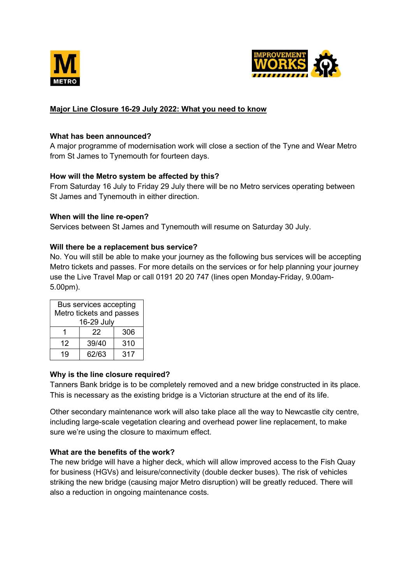



# Major Line Closure 16-29 July 2022: What you need to know

### What has been announced?

A major programme of modernisation work will close a section of the Tyne and Wear Metro from St James to Tynemouth for fourteen days.

# How will the Metro system be affected by this?

From Saturday 16 July to Friday 29 July there will be no Metro services operating between St James and Tynemouth in either direction.

# When will the line re-open?

Services between St James and Tynemouth will resume on Saturday 30 July.

## Will there be a replacement bus service?

No. You will still be able to make your journey as the following bus services will be accepting Metro tickets and passes. For more details on the services or for help planning your journey use the Live Travel Map or call 0191 20 20 747 (lines open Monday-Friday, 9.00am-5.00pm).

| Bus services accepting<br>Metro tickets and passes<br>16-29 July |       |     |
|------------------------------------------------------------------|-------|-----|
|                                                                  | 22    | 306 |
| 12                                                               | 39/40 | 310 |
| 19                                                               | 62/63 | 317 |

# Why is the line closure required?

Tanners Bank bridge is to be completely removed and a new bridge constructed in its place. This is necessary as the existing bridge is a Victorian structure at the end of its life.

Other secondary maintenance work will also take place all the way to Newcastle city centre, including large-scale vegetation clearing and overhead power line replacement, to make sure we're using the closure to maximum effect.

# What are the benefits of the work?

The new bridge will have a higher deck, which will allow improved access to the Fish Quay for business (HGVs) and leisure/connectivity (double decker buses). The risk of vehicles striking the new bridge (causing major Metro disruption) will be greatly reduced. There will also a reduction in ongoing maintenance costs.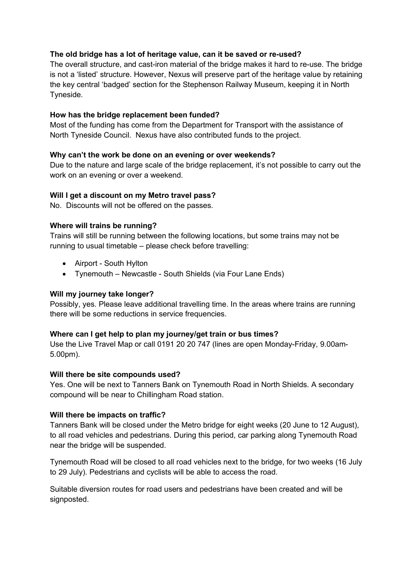## The old bridge has a lot of heritage value, can it be saved or re-used?

The overall structure, and cast-iron material of the bridge makes it hard to re-use. The bridge is not a 'listed' structure. However, Nexus will preserve part of the heritage value by retaining the key central 'badged' section for the Stephenson Railway Museum, keeping it in North Tyneside.

## How has the bridge replacement been funded?

Most of the funding has come from the Department for Transport with the assistance of North Tyneside Council. Nexus have also contributed funds to the project.

## Why can't the work be done on an evening or over weekends?

Due to the nature and large scale of the bridge replacement, it's not possible to carry out the work on an evening or over a weekend.

## Will I get a discount on my Metro travel pass?

No. Discounts will not be offered on the passes.

#### Where will trains be running?

Trains will still be running between the following locations, but some trains may not be running to usual timetable – please check before travelling:

- Airport South Hylton
- Tynemouth Newcastle South Shields (via Four Lane Ends)

### Will my journey take longer?

Possibly, yes. Please leave additional travelling time. In the areas where trains are running there will be some reductions in service frequencies.

#### Where can I get help to plan my journey/get train or bus times?

Use the Live Travel Map or call 0191 20 20 747 (lines are open Monday-Friday, 9.00am-5.00pm).

#### Will there be site compounds used?

Yes. One will be next to Tanners Bank on Tynemouth Road in North Shields. A secondary compound will be near to Chillingham Road station.

#### Will there be impacts on traffic?

Tanners Bank will be closed under the Metro bridge for eight weeks (20 June to 12 August), to all road vehicles and pedestrians. During this period, car parking along Tynemouth Road near the bridge will be suspended.

Tynemouth Road will be closed to all road vehicles next to the bridge, for two weeks (16 July to 29 July). Pedestrians and cyclists will be able to access the road.

Suitable diversion routes for road users and pedestrians have been created and will be signposted.